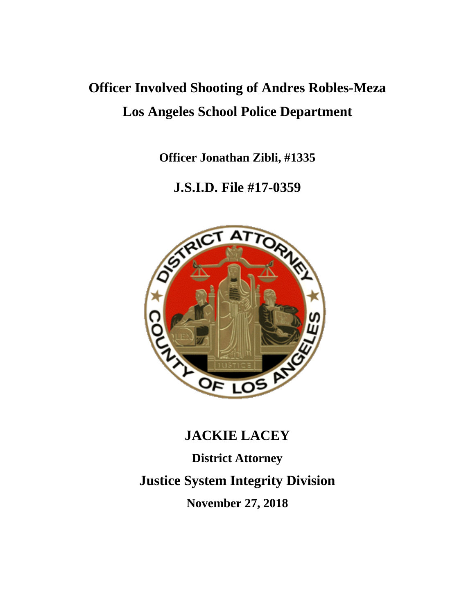# **Officer Involved Shooting of Andres Robles-Meza Los Angeles School Police Department**

**Officer Jonathan Zibli, #1335**

### **J.S.I.D. File #17-0359**



## **JACKIE LACEY**

**District Attorney Justice System Integrity Division November 27, 2018**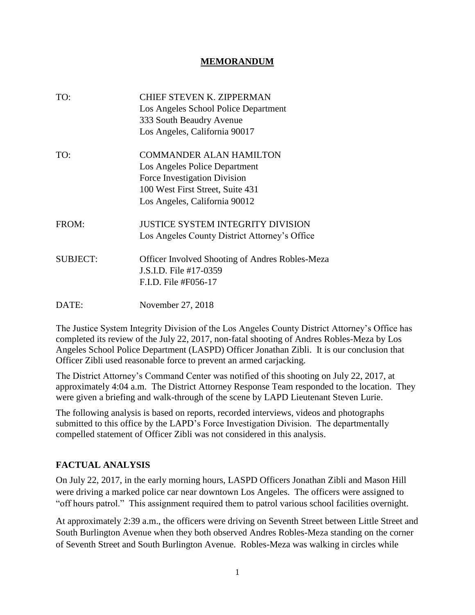#### **MEMORANDUM**

| TO:             | <b>CHIEF STEVEN K. ZIPPERMAN</b><br>Los Angeles School Police Department<br>333 South Beaudry Avenue<br>Los Angeles, California 90017                                |
|-----------------|----------------------------------------------------------------------------------------------------------------------------------------------------------------------|
| TO:             | <b>COMMANDER ALAN HAMILTON</b><br>Los Angeles Police Department<br>Force Investigation Division<br>100 West First Street, Suite 431<br>Los Angeles, California 90012 |
| FROM:           | <b>JUSTICE SYSTEM INTEGRITY DIVISION</b><br>Los Angeles County District Attorney's Office                                                                            |
| <b>SUBJECT:</b> | <b>Officer Involved Shooting of Andres Robles-Meza</b><br>J.S.I.D. File #17-0359<br>F.I.D. File #F056-17                                                             |
| DATE:           | November 27, 2018                                                                                                                                                    |

The Justice System Integrity Division of the Los Angeles County District Attorney's Office has completed its review of the July 22, 2017, non-fatal shooting of Andres Robles-Meza by Los Angeles School Police Department (LASPD) Officer Jonathan Zibli. It is our conclusion that Officer Zibli used reasonable force to prevent an armed carjacking.

The District Attorney's Command Center was notified of this shooting on July 22, 2017, at approximately 4:04 a.m. The District Attorney Response Team responded to the location. They were given a briefing and walk-through of the scene by LAPD Lieutenant Steven Lurie.

The following analysis is based on reports, recorded interviews, videos and photographs submitted to this office by the LAPD's Force Investigation Division. The departmentally compelled statement of Officer Zibli was not considered in this analysis.

#### **FACTUAL ANALYSIS**

On July 22, 2017, in the early morning hours, LASPD Officers Jonathan Zibli and Mason Hill were driving a marked police car near downtown Los Angeles. The officers were assigned to "off hours patrol." This assignment required them to patrol various school facilities overnight.

At approximately 2:39 a.m., the officers were driving on Seventh Street between Little Street and South Burlington Avenue when they both observed Andres Robles-Meza standing on the corner of Seventh Street and South Burlington Avenue. Robles-Meza was walking in circles while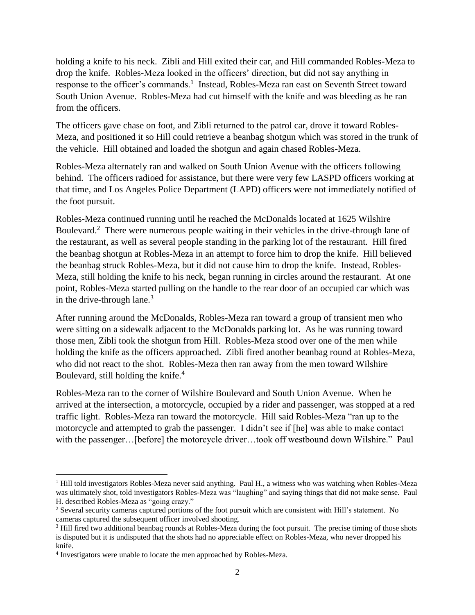holding a knife to his neck. Zibli and Hill exited their car, and Hill commanded Robles-Meza to drop the knife. Robles-Meza looked in the officers' direction, but did not say anything in response to the officer's commands.<sup>1</sup> Instead, Robles-Meza ran east on Seventh Street toward South Union Avenue. Robles-Meza had cut himself with the knife and was bleeding as he ran from the officers.

The officers gave chase on foot, and Zibli returned to the patrol car, drove it toward Robles-Meza, and positioned it so Hill could retrieve a beanbag shotgun which was stored in the trunk of the vehicle. Hill obtained and loaded the shotgun and again chased Robles-Meza.

Robles-Meza alternately ran and walked on South Union Avenue with the officers following behind. The officers radioed for assistance, but there were very few LASPD officers working at that time, and Los Angeles Police Department (LAPD) officers were not immediately notified of the foot pursuit.

Robles-Meza continued running until he reached the McDonalds located at 1625 Wilshire Boulevard.<sup>2</sup> There were numerous people waiting in their vehicles in the drive-through lane of the restaurant, as well as several people standing in the parking lot of the restaurant. Hill fired the beanbag shotgun at Robles-Meza in an attempt to force him to drop the knife. Hill believed the beanbag struck Robles-Meza, but it did not cause him to drop the knife. Instead, Robles-Meza, still holding the knife to his neck, began running in circles around the restaurant. At one point, Robles-Meza started pulling on the handle to the rear door of an occupied car which was in the drive-through lane. $3$ 

After running around the McDonalds, Robles-Meza ran toward a group of transient men who were sitting on a sidewalk adjacent to the McDonalds parking lot. As he was running toward those men, Zibli took the shotgun from Hill. Robles-Meza stood over one of the men while holding the knife as the officers approached. Zibli fired another beanbag round at Robles-Meza, who did not react to the shot. Robles-Meza then ran away from the men toward Wilshire Boulevard, still holding the knife.<sup>4</sup>

Robles-Meza ran to the corner of Wilshire Boulevard and South Union Avenue. When he arrived at the intersection, a motorcycle, occupied by a rider and passenger, was stopped at a red traffic light. Robles-Meza ran toward the motorcycle. Hill said Robles-Meza "ran up to the motorcycle and attempted to grab the passenger. I didn't see if [he] was able to make contact with the passenger... [before] the motorcycle driver...took off westbound down Wilshire." Paul

<sup>&</sup>lt;sup>1</sup> Hill told investigators Robles-Meza never said anything. Paul H., a witness who was watching when Robles-Meza was ultimately shot, told investigators Robles-Meza was "laughing" and saying things that did not make sense. Paul H. described Robles-Meza as "going crazy."

<sup>2</sup> Several security cameras captured portions of the foot pursuit which are consistent with Hill's statement. No cameras captured the subsequent officer involved shooting.

<sup>&</sup>lt;sup>3</sup> Hill fired two additional beanbag rounds at Robles-Meza during the foot pursuit. The precise timing of those shots is disputed but it is undisputed that the shots had no appreciable effect on Robles-Meza, who never dropped his knife.

<sup>&</sup>lt;sup>4</sup> Investigators were unable to locate the men approached by Robles-Meza.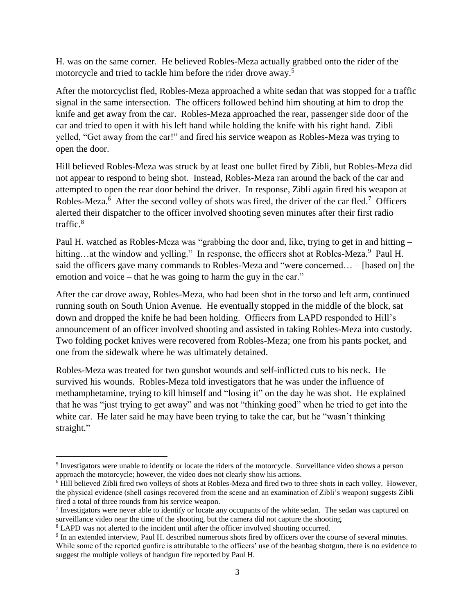H. was on the same corner. He believed Robles-Meza actually grabbed onto the rider of the motorcycle and tried to tackle him before the rider drove away.<sup>5</sup>

After the motorcyclist fled, Robles-Meza approached a white sedan that was stopped for a traffic signal in the same intersection. The officers followed behind him shouting at him to drop the knife and get away from the car. Robles-Meza approached the rear, passenger side door of the car and tried to open it with his left hand while holding the knife with his right hand. Zibli yelled, "Get away from the car!" and fired his service weapon as Robles-Meza was trying to open the door.

Hill believed Robles-Meza was struck by at least one bullet fired by Zibli, but Robles-Meza did not appear to respond to being shot. Instead, Robles-Meza ran around the back of the car and attempted to open the rear door behind the driver. In response, Zibli again fired his weapon at Robles-Meza.<sup>6</sup> After the second volley of shots was fired, the driver of the car fled.<sup>7</sup> Officers alerted their dispatcher to the officer involved shooting seven minutes after their first radio traffic.<sup>8</sup>

Paul H. watched as Robles-Meza was "grabbing the door and, like, trying to get in and hitting – hitting...at the window and yelling." In response, the officers shot at Robles-Meza.<sup>9</sup> Paul H. said the officers gave many commands to Robles-Meza and "were concerned… – [based on] the emotion and voice – that he was going to harm the guy in the car."

After the car drove away, Robles-Meza, who had been shot in the torso and left arm, continued running south on South Union Avenue. He eventually stopped in the middle of the block, sat down and dropped the knife he had been holding. Officers from LAPD responded to Hill's announcement of an officer involved shooting and assisted in taking Robles-Meza into custody. Two folding pocket knives were recovered from Robles-Meza; one from his pants pocket, and one from the sidewalk where he was ultimately detained.

Robles-Meza was treated for two gunshot wounds and self-inflicted cuts to his neck. He survived his wounds. Robles-Meza told investigators that he was under the influence of methamphetamine, trying to kill himself and "losing it" on the day he was shot. He explained that he was "just trying to get away" and was not "thinking good" when he tried to get into the white car. He later said he may have been trying to take the car, but he "wasn't thinking" straight."

<sup>&</sup>lt;sup>5</sup> Investigators were unable to identify or locate the riders of the motorcycle. Surveillance video shows a person approach the motorcycle; however, the video does not clearly show his actions.

<sup>6</sup> Hill believed Zibli fired two volleys of shots at Robles-Meza and fired two to three shots in each volley. However, the physical evidence (shell casings recovered from the scene and an examination of Zibli's weapon) suggests Zibli fired a total of three rounds from his service weapon.

<sup>&</sup>lt;sup>7</sup> Investigators were never able to identify or locate any occupants of the white sedan. The sedan was captured on surveillance video near the time of the shooting, but the camera did not capture the shooting.

<sup>&</sup>lt;sup>8</sup> LAPD was not alerted to the incident until after the officer involved shooting occurred.

<sup>&</sup>lt;sup>9</sup> In an extended interview, Paul H. described numerous shots fired by officers over the course of several minutes. While some of the reported gunfire is attributable to the officers' use of the beanbag shotgun, there is no evidence to suggest the multiple volleys of handgun fire reported by Paul H.